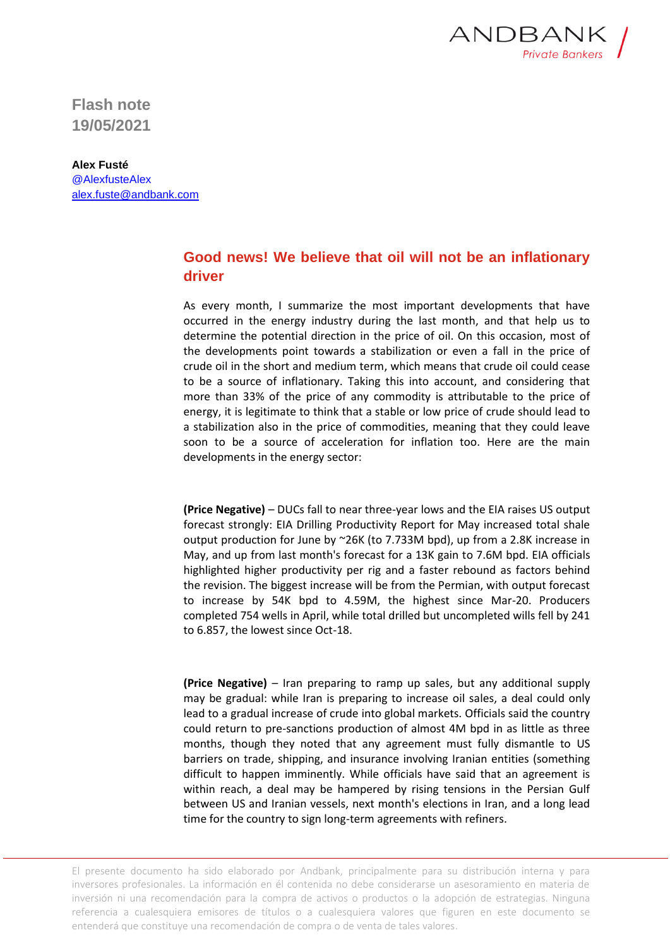

**Flash note 19/05/2021**

**Alex Fusté** @AlexfusteAlex [alex.fuste@andbank.com](mailto:alex.fuste@andbank.com)

## **Good news! We believe that oil will not be an inflationary driver**

As every month, I summarize the most important developments that have occurred in the energy industry during the last month, and that help us to determine the potential direction in the price of oil. On this occasion, most of the developments point towards a stabilization or even a fall in the price of crude oil in the short and medium term, which means that crude oil could cease to be a source of inflationary. Taking this into account, and considering that more than 33% of the price of any commodity is attributable to the price of energy, it is legitimate to think that a stable or low price of crude should lead to a stabilization also in the price of commodities, meaning that they could leave soon to be a source of acceleration for inflation too. Here are the main developments in the energy sector:

**(Price Negative)** – DUCs fall to near three-year lows and the EIA raises US output forecast strongly: EIA Drilling Productivity Report for May increased total shale output production for June by ~26K (to 7.733M bpd), up from a 2.8K increase in May, and up from last month's forecast for a 13K gain to 7.6M bpd. EIA officials highlighted higher productivity per rig and a faster rebound as factors behind the revision. The biggest increase will be from the Permian, with output forecast to increase by 54K bpd to 4.59M, the highest since Mar-20. Producers completed 754 wells in April, while total drilled but uncompleted wills fell by 241 to 6.857, the lowest since Oct-18.

**(Price Negative)** – Iran preparing to ramp up sales, but any additional supply may be gradual: while Iran is preparing to increase oil sales, a deal could only lead to a gradual increase of crude into global markets. Officials said the country could return to pre-sanctions production of almost 4M bpd in as little as three months, though they noted that any agreement must fully dismantle to US barriers on trade, shipping, and insurance involving Iranian entities (something difficult to happen imminently. While officials have said that an agreement is within reach, a deal may be hampered by rising tensions in the Persian Gulf between US and Iranian vessels, next month's elections in Iran, and a long lead time for the country to sign long-term agreements with refiners.

El presente documento ha sido elaborado por Andbank, principalmente para su distribución interna y para inversores profesionales. La información en él contenida no debe considerarse un asesoramiento en materia de inversión ni una recomendación para la compra de activos o productos o la adopción de estrategias. Ninguna referencia a cualesquiera emisores de títulos o a cualesquiera valores que figuren en este documento se entenderá que constituye una recomendación de compra o de venta de tales valores.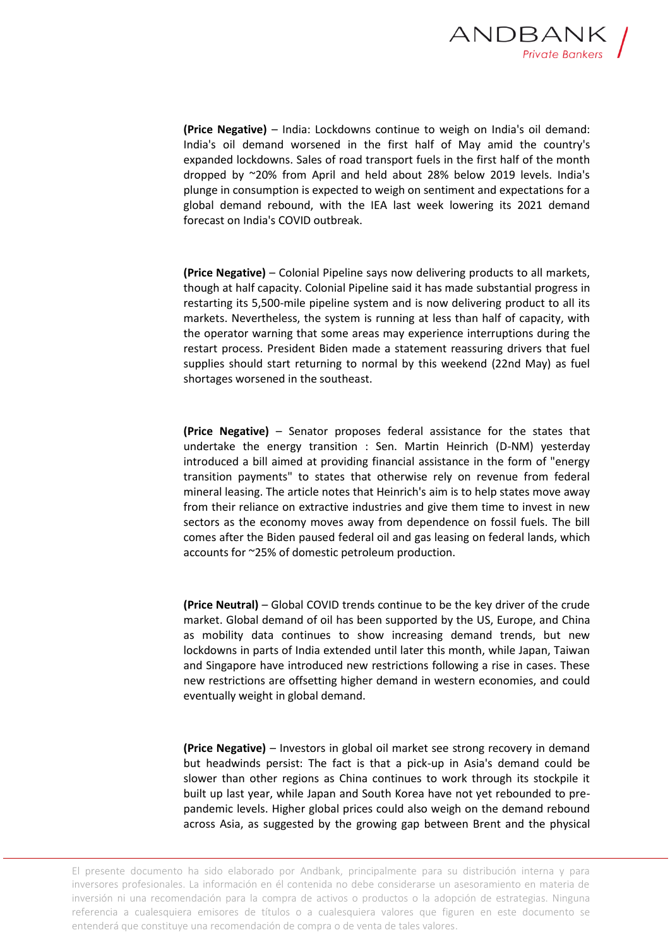

**(Price Negative)** – India: Lockdowns continue to weigh on India's oil demand: India's oil demand worsened in the first half of May amid the country's expanded lockdowns. Sales of road transport fuels in the first half of the month dropped by ~20% from April and held about 28% below 2019 levels. India's plunge in consumption is expected to weigh on sentiment and expectations for a global demand rebound, with the IEA last week lowering its 2021 demand forecast on India's COVID outbreak.

**(Price Negative)** – Colonial Pipeline says now delivering products to all markets, though at half capacity. Colonial Pipeline said it has made substantial progress in restarting its 5,500-mile pipeline system and is now delivering product to all its markets. Nevertheless, the system is running at less than half of capacity, with the operator warning that some areas may experience interruptions during the restart process. President Biden made a statement reassuring drivers that fuel supplies should start returning to normal by this weekend (22nd May) as fuel shortages worsened in the southeast.

**(Price Negative)** – Senator proposes federal assistance for the states that undertake the energy transition : Sen. Martin Heinrich (D-NM) yesterday introduced a bill aimed at providing financial assistance in the form of "energy transition payments" to states that otherwise rely on revenue from federal mineral leasing. The article notes that Heinrich's aim is to help states move away from their reliance on extractive industries and give them time to invest in new sectors as the economy moves away from dependence on fossil fuels. The bill comes after the Biden paused federal oil and gas leasing on federal lands, which accounts for ~25% of domestic petroleum production.

**(Price Neutral)** – Global COVID trends continue to be the key driver of the crude market. Global demand of oil has been supported by the US, Europe, and China as mobility data continues to show increasing demand trends, but new lockdowns in parts of India extended until later this month, while Japan, Taiwan and Singapore have introduced new restrictions following a rise in cases. These new restrictions are offsetting higher demand in western economies, and could eventually weight in global demand.

**(Price Negative)** – Investors in global oil market see strong recovery in demand but headwinds persist: The fact is that a pick-up in Asia's demand could be slower than other regions as China continues to work through its stockpile it built up last year, while Japan and South Korea have not yet rebounded to prepandemic levels. Higher global prices could also weigh on the demand rebound across Asia, as suggested by the growing gap between Brent and the physical

El presente documento ha sido elaborado por Andbank, principalmente para su distribución interna y para inversores profesionales. La información en él contenida no debe considerarse un asesoramiento en materia de inversión ni una recomendación para la compra de activos o productos o la adopción de estrategias. Ninguna referencia a cualesquiera emisores de títulos o a cualesquiera valores que figuren en este documento se entenderá que constituye una recomendación de compra o de venta de tales valores.